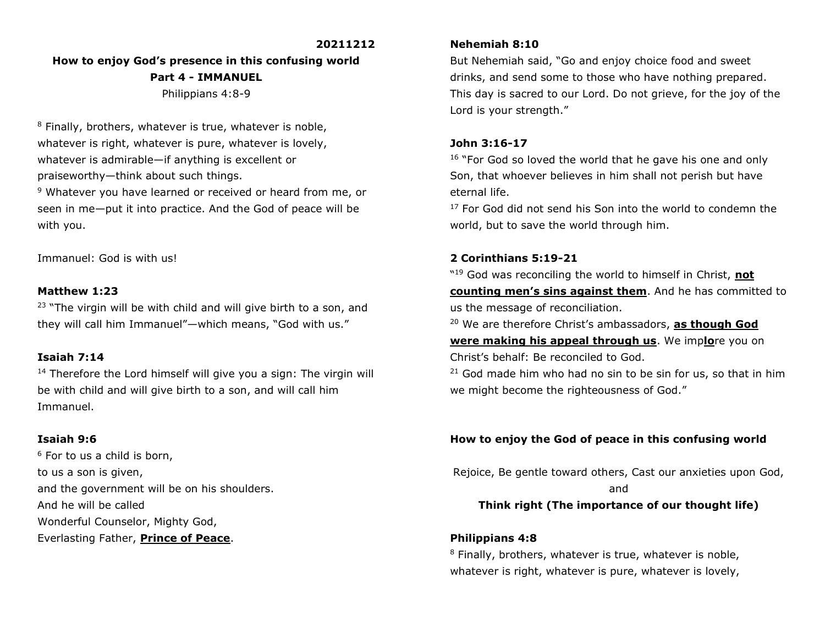#### **20211212**

# **How to enjoy God's presence in this confusing world Part 4 - IMMANUEL** Philippians 4:8-9

<sup>8</sup> Finally, brothers, whatever is true, whatever is noble, whatever is right, whatever is pure, whatever is lovely, whatever is admirable—if anything is excellent or praiseworthy—think about such things. <sup>9</sup> Whatever you have learned or received or heard from me, or

seen in me—put it into practice. And the God of peace will be with you.

Immanuel: God is with us!

#### **Matthew 1:23**

 $23$  "The virgin will be with child and will give birth to a son, and they will call him Immanuel"—which means, "God with us."

### **Isaiah 7:14**

<sup>14</sup> Therefore the Lord himself will give you a sign: The virgin will be with child and will give birth to a son, and will call him Immanuel.

### **Isaiah 9:6**

 $6$  For to us a child is born, to us a son is given, and the government will be on his shoulders. And he will be called Wonderful Counselor, Mighty God, Everlasting Father, **Prince of Peace**.

#### **Nehemiah 8:10**

But Nehemiah said, "Go and enjoy choice food and sweet drinks, and send some to those who have nothing prepared. This day is sacred to our Lord. Do not grieve, for the joy of the Lord is your strength."

#### **John 3:16-17**

<sup>16</sup> "For God so loved the world that he gave his one and only Son, that whoever believes in him shall not perish but have eternal life.

 $17$  For God did not send his Son into the world to condemn the world, but to save the world through him.

# **2 Corinthians 5:19-21**

" <sup>19</sup> God was reconciling the world to himself in Christ, **not counting men's sins against them**. And he has committed to us the message of reconciliation.

<sup>20</sup> We are therefore Christ's ambassadors, **as though God** 

**were making his appeal through us**. We imp**lo**re you on Christ's behalf: Be reconciled to God.

 $21$  God made him who had no sin to be sin for us, so that in him we might become the righteousness of God."

### **How to enjoy the God of peace in this confusing world**

Rejoice, Be gentle toward others, Cast our anxieties upon God, and

# **Think right (The importance of our thought life)**

### **Philippians 4:8**

<sup>8</sup> Finally, brothers, whatever is true, whatever is noble, whatever is right, whatever is pure, whatever is lovely,